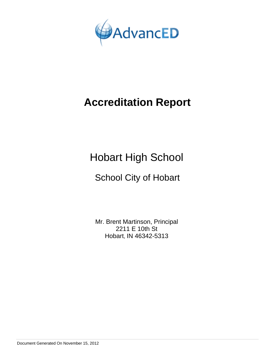

Hobart High School

## School City of Hobart

Mr. Brent Martinson, Principal 2211 E 10th St Hobart, IN 46342-5313

Document Generated On November 15, 2012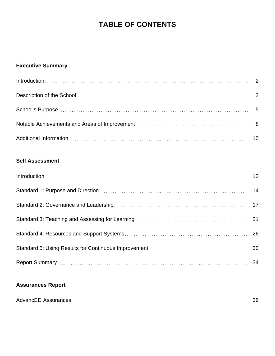## **TABLE OF CONTENTS**

## **Executive Summary**

## **Self Assessment**

## **Assurances Report**

|--|--|--|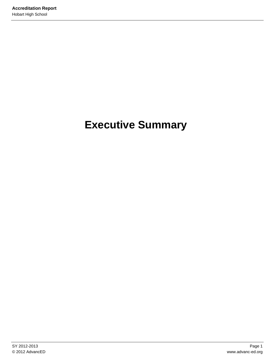# **Executive Summary**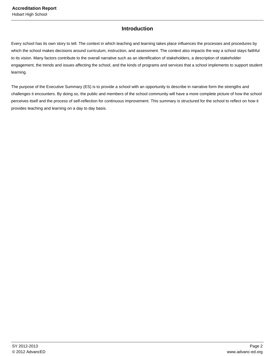## **Introduction**

Every school has its own story to tell. The context in which teaching and learning takes place influences the processes and procedures by which the school makes decisions around curriculum, instruction, and assessment. The context also impacts the way a school stays faithful to its vision. Many factors contribute to the overall narrative such as an identification of stakeholders, a description of stakeholder engagement, the trends and issues affecting the school, and the kinds of programs and services that a school implements to support student learning.

The purpose of the Executive Summary (ES) is to provide a school with an opportunity to describe in narrative form the strengths and challenges it encounters. By doing so, the public and members of the school community will have a more complete picture of how the school perceives itself and the process of self-reflection for continuous improvement. This summary is structured for the school to reflect on how it provides teaching and learning on a day to day basis.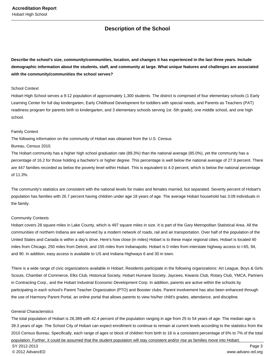## **Description of the School**

**Describe the school's size, community/communities, location, and changes it has experienced in the last three years. Include demographic information about the students, staff, and community at large. What unique features and challenges are associated with the community/communities the school serves?**

#### School Context

Hobart High School serves a 9-12 population of approximately 1,300 students. The district is comprised of four elementary schools (1 Early Learning Center for full day kindergarten, Early Childhood Development for toddlers with special needs, and Parents as Teachers (PAT) readiness program for parents birth to kindergarten, and 3 elementary schools serving 1st -5th grade), one middle school, and one high school.

#### Family Context

The following information on the community of Hobart was obtained from the U.S. Census Bureau, Census 2010.

The Hobart community has a higher high school graduation rate (89.3%) than the national average (85.0%), yet the community has a percentage of 16.2 for those holding a bachelor's or higher degree. This percentage is well below the national average of 27.9 percent. There are 447 families recorded as below the poverty level within Hobart. This is equivalent to 4.0 percent, which is below the national percentage of 11.3%.

The community's statistics are consistent with the national levels for males and females married, but separated. Seventy percent of Hobart's population has families with 26.7 percent having children under age 18 years of age. The average Hobart household has 3.09 individuals in the family.

#### Community Contexts

Hobart covers 28 square miles in Lake County, which is 497 square miles in size. It is part of the Gary Metropolitan Statistical Area. All the communities of northern Indiana are well-served by a modern network of roads, rail and air transportation. Over half of the population of the United States and Canada is within a day's drive. Here's how close (in miles) Hobart is to these major regional cities. Hobart is located 40 miles from Chicago, 250 miles from Detroit, and 155 miles from Indianapolis. Hobart is 0 miles from interstate highway access to I-65, 94, and 90. In addition, easy access is available to US and Indiana Highways 6 and 30 in town.

There is a wide range of civic organizations available in Hobart. Residents participate in the following organizations: Art League, Boys & Girls Scouts, Chamber of Commerce, Elks Club, Historical Society, Hobart Humane Society, Jaycees, Kiwanis Club, Rotary Club, YMCA, Partners in Contracting Corp., and the Hobart Industrial Economic Development Corp. In addition, parents are active within the schools by participating in each school's Parent Teacher Organization (PTO) and Booster clubs. Parent involvement has also been enhanced through the use of Harmony Parent Portal, an online portal that allows parents to view his/her child's grades, attendance, and discipline.

#### General Characteristics

The total population of Hobart is 28,389 with 42.4 percent of the population ranging in age from 25 to 54 years of age. The median age is 39.3 years of age. The School City of Hobart can expect enrollment to continue to remain at current levels according to the statistics from the 2010 Census Bureau. Specifically, each range of ages or block of children from birth to 18 is a consistent percentage of 6% to 7% of the total population. Further, it could be assumed that the student population will stay consistent and/or rise as families move into Hobart.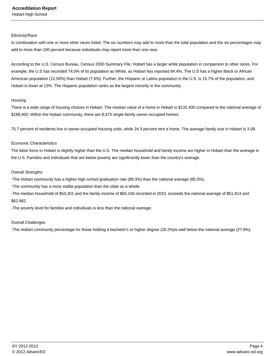#### Ethnicity/Race

In combination with one or more other races listed. The six numbers may add to more than the total population and the six percentages may add to more than 100 percent because individuals may report more than one race.

According to the U.S. Census Bureau, Census 2000 Summary File, Hobart has a larger white population in comparison to other races. For example, the U.S has recorded 74.0% of its population as White, as Hobart has reported 84.4%. The U.S has a higher Black or African American population (12.50%) than Hobart (7.6%). Further, the Hispanic or Latino population in the U.S. is 15.7% of the population, and Hobart is lower at 12%. The Hispanic population ranks as the largest minority in the community.

#### Housing

There is a wide range of housing choices in Hobart. The median value of a home in Hobart is \$132,400 compared to the national average of \$188,400. Within the Hobart community, there are 8,473 single-family owner-occupied homes.

75.7 percent of residents live in owner-occupied housing units, while 24.3 percent rent a home. The average family size in Hobart is 3.09.

#### Economic Characteristics

The labor force in Hobart is slightly higher than the U.S. The median household and family income are higher in Hobart than the average in the U.S. Families and individuals that are below poverty are significantly lower than the country's average.

#### Overall Strengths

-The Hobart community has a higher high school graduation rate (89.3%) than the national average (85.0%).

-The community has a more stable population than the state as a whole.

-The median household of \$54,301 and the family income of \$65,156 recorded in 2010, exceeds the national average of \$51,914 and \$62,982.

-The poverty level for families and individuals is less than the national average.

#### Overall Challenges

-The Hobart community percentage for those holding a bachelor's or higher degree (16.2%)is well below the national average (27.9%).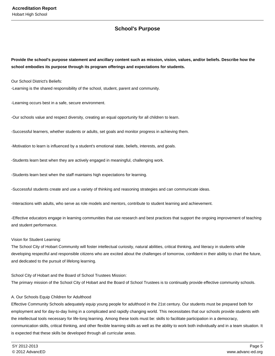## **School's Purpose**

**Provide the school's purpose statement and ancillary content such as mission, vision, values, and/or beliefs. Describe how the school embodies its purpose through its program offerings and expectations for students.**

Our School District's Beliefs:

-Learning is the shared responsibility of the school, student, parent and community.

-Learning occurs best in a safe, secure environment.

-Our schools value and respect diversity, creating an equal opportunity for all children to learn.

-Successful learners, whether students or adults, set goals and monitor progress in achieving them.

-Motivation to learn is influenced by a student's emotional state, beliefs, interests, and goals.

-Students learn best when they are actively engaged in meaningful, challenging work.

-Students learn best when the staff maintains high expectations for learning.

-Successful students create and use a variety of thinking and reasoning strategies and can communicate ideas.

-Interactions with adults, who serve as role models and mentors, contribute to student learning and achievement.

-Effective educators engage in learning communities that use research and best practices that support the ongoing improvement of teaching and student performance.

#### Vision for Student Learning:

The School City of Hobart Community will foster intellectual curiosity, natural abilities, critical thinking, and literacy in students while developing respectful and responsible citizens who are excited about the challenges of tomorrow, confident in their ability to chart the future, and dedicated to the pursuit of lifelong learning.

School City of Hobart and the Board of School Trustees Mission: The primary mission of the School City of Hobart and the Board of School Trustees is to continually provide effective community schools.

#### A. Our Schools Equip Children for Adulthood

Effective Community Schools adequately equip young people for adulthood in the 21st century. Our students must be prepared both for employment and for day-to-day living in a complicated and rapidly changing world. This necessitates that our schools provide students with the intellectual tools necessary for life-long learning. Among these tools must be: skills to facilitate participation in a democracy, communication skills, critical thinking, and other flexible learning skills as well as the ability to work both individually and in a team situation. It is expected that these skills be developed through all curricular areas.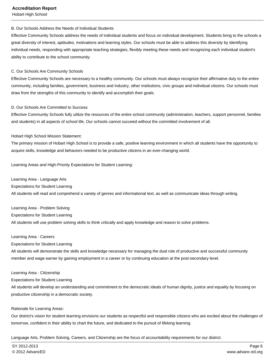Hobart High School

#### B. Our Schools Address the Needs of Individual Students

Effective Community Schools address the needs of individual students and focus on individual development. Students bring to the schools a great diversity of interest, aptitudes, motivations and learning styles. Our schools must be able to address this diversity by identifying individual needs, responding with appropriate teaching strategies, flexibly meeting these needs and recognizing each individual student's ability to contribute to the school community.

#### C. Our Schools Are Community Schools

Effective Community Schools are necessary to a healthy community. Our schools must always recognize their affirmative duty to the entire community, including families, government, business and industry, other institutions, civic groups and individual citizens. Our schools must draw from the strengths of this community to identify and accomplish their goals.

#### D. Our Schools Are Committed to Success

Effective Community Schools fully utilize the resources of the entire school community (administration, teachers, support personnel, families and students) in all aspects of school life. Our schools cannot succeed without the committed involvement of all.

#### Hobart High School Mission Statement:

The primary mission of Hobart High School is to provide a safe, positive learning environment in which all students have the opportunity to acquire skills, knowledge and behaviors needed to be productive citizens in an ever-changing world.

Learning Areas and High-Priority Expectations for Student Learning:

Learning Area - Language Arts Expectations for Student Learning All students will read and comprehend a variety of genres and informational text, as well as communicate ideas through writing.

Learning Area - Problem Solving Expectations for Student Learning All students will use problem solving skills to think critically and apply knowledge and reason to solve problems.

#### Learning Area - Careers

Expectations for Student Learning

All students will demonstrate the skills and knowledge necessary for managing the dual role of productive and successful community member and wage earner by gaining employment in a career or by continuing education at the post-secondary level.

#### Learning Area - Citizenship

Expectations for Student Learning

All students will develop an understanding and commitment to the democratic ideals of human dignity, justice and equality by focusing on productive citizenship in a democratic society.

#### Rationale for Learning Areas:

Our district's vision for student learning envisions our students as respectful and responsible citizens who are excited about the challenges of tomorrow, confident in their ability to chart the future, and dedicated to the pursuit of lifelong learning.

Language Arts, Problem Solving, Careers, and Citizenship are the focus of accountability requirements for our district.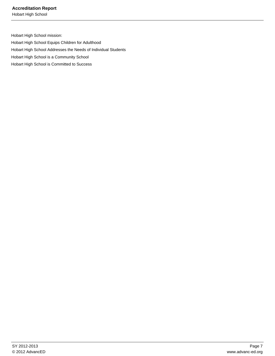Hobart High School

Hobart High School mission: Hobart High School Equips Children for Adulthood Hobart High School Addresses the Needs of Individual Students Hobart High School is a Community School Hobart High School is Committed to Success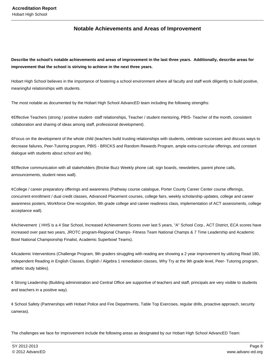## **Notable Achievements and Areas of Improvement**

**Describe the school's notable achievements and areas of improvement in the last three years. Additionally, describe areas for improvement that the school is striving to achieve in the next three years.**

Hobart High School believes in the importance of fostering a school environment where all faculty and staff work diligently to build positive, meaningful relationships with students.

The most notable as documented by the Hobart High School AdvancED team including the following strengths:

¢ Effective Teachers (strong / positive student- staff relationships, Teacher / student mentoring, PBIS- Teacher of the month, consistent collaboration and sharing of ideas among staff, professional development).

 $\phi$  Focus on the development of the whole child (teachers build trusting relationships with students, celebrate successes and discuss ways to decrease failures, Peer-Tutoring program, PBIS - BRICKS and Random Rewards Program, ample extra-curricular offerings, and constant dialogue with students about school and life).

¢ Effective communication with all stakeholders (Brickie Buzz Weekly phone call, sign boards, newsletters, parent phone calls, announcements, student news wall).

¢ College / career preparatory offerings and awareness (Pathway course catalogue, Porter County Career Center course offerings, concurrent enrollment / dual credit classes, Advanced Placement courses, college fairs, weekly scholarship updates, college and career awareness posters, Workforce One recognition, 9th grade college and career readiness class, implementation of ACT assessments, college acceptance wall).

¢ Achievement ( HHS is a 4 Star School, Increased Achievement Scores over last 5 years, "A" School Corp., ACT District, ECA scores have increased over past two years, JROTC program-Regional Champs- Fitness Team National Champs & 7 Time Leadership and Academic Bowl National Championship Finalist, Academic Superbowl Teams).

 $\phi$  Academic Interventions (Challenge Program, 9th graders struggling with reading are showing a 2 year improvement by utilizing Read 180, Independent Reading in English Classes, English / Algebra 1 remediation classes, Why Try at the 9th grade level, Peer- Tutoring program, athletic study tables).

 $\phi$  Strong Leadership (Building administration and Central Office are supportive of teachers and staff, principals are very visible to students and teachers in a positive way).

 $\varphi$  School Safety (Partnerships with Hobart Police and Fire Departments, Table Top Exercises, regular drills, proactive approach, security cameras).

The challenges we face for improvement include the following areas as designated by our Hobart High School AdvancED Team: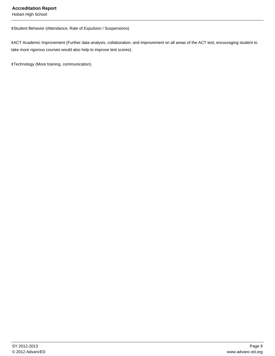Hobart High School

¢ Student Behavior (Attendance, Rate of Expulsion / Suspensions)

¢ ACT Academic Improvement (Further data analysis, collaboration, and improvement on all areas of the ACT test, encouraging student to take more rigorous courses would also help to improve test scores).

¢ Technology (More training, communication).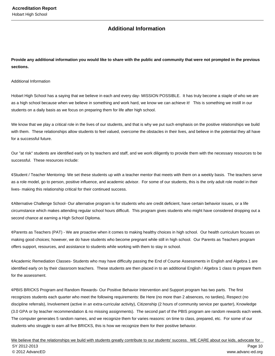## **Additional Information**

**Provide any additional information you would like to share with the public and community that were not prompted in the previous sections.**

Additional Information

Hobart High School has a saying that we believe in each and every day- MISSION POSSIBLE. It has truly become a staple of who we are as a high school because when we believe in something and work hard, we know we can achieve it! This is something we instill in our students on a daily basis as we focus on preparing them for life after high school.

We know that we play a critical role in the lives of our students, and that is why we put such emphasis on the positive relationships we build with them. These relationships allow students to feel valued, overcome the obstacles in their lives, and believe in the potential they all have for a successful future.

Our "at risk" students are identified early on by teachers and staff, and we work diligently to provide them with the necessary resources to be successful. These resources include:

¢ Student / Teacher Mentoring- We set these students up with a teacher mentor that meets with them on a weekly basis. The teachers serve as a role model, go to person, positive influence, and academic advisor. For some of our students, this is the only adult role model in their lives- making this relationship critical for their continued success.

¢ Alternative Challenge School- Our alternative program is for students who are credit deficient, have certain behavior issues, or a life circumstance which makes attending regular school hours difficult. This program gives students who might have considered dropping out a second chance at earning a High School Diploma.

¢ Parents as Teachers (PAT) - We are proactive when it comes to making healthy choices in high school. Our health curriculum focuses on making good choices; however, we do have students who become pregnant while still in high school. Our Parents as Teachers program offers support, resources, and assistance to students while working with them to stay in school.

 $\phi$  Academic Remediation Classes- Students who may have difficulty passing the End of Course Assessments in English and Algebra 1 are identified early on by their classroom teachers. These students are then placed in to an additional English / Algebra 1 class to prepare them for the assessment.

¢ PBIS BRICKS Program and Random Rewards- Our Positive Behavior Intervention and Support program has two parts. The first recognizes students each quarter who meet the following requirements: Be Here (no more than 2 absences, no tardies), Respect (no discipline referrals), Involvement (active in an extra-curricular activity), Citizenship (2 hours of community service per quarter), Knowledge (3.0 GPA or by teacher recommendation & no missing assignments). The second part of the PBIS program are random rewards each week. The computer generates 5 random names, and we recognize them for varies reasons: on time to class, prepared, etc. For some of our students who struggle to earn all five BRICKS, this is how we recognize them for their positive behavior.

We believe that the relationships we build with students greatly contribute to our students' success. WE CARE about our kids, advocate for SY 2012-2013 Page 10 © 2012 AdvancED www.advanc-ed.org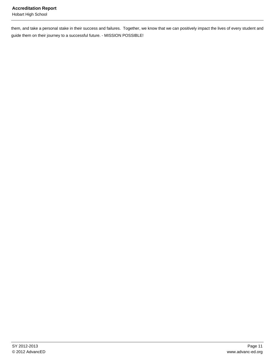them, and take a personal stake in their success and failures. Together, we know that we can positively impact the lives of every student and guide them on their journey to a successful future. - MISSION POSSIBLE!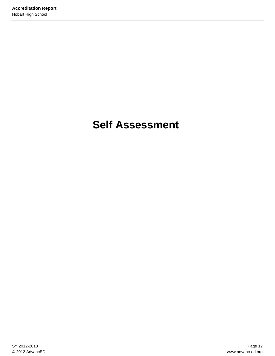# **Self Assessment**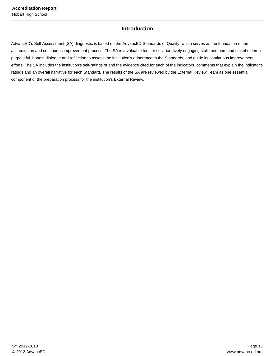## **Introduction**

AdvancED's Self Assessment (SA) diagnostic is based on the AdvancED Standards of Quality, which serves as the foundation of the accreditation and continuous improvement process. The SA is a valuable tool for collaboratively engaging staff members and stakeholders in purposeful, honest dialogue and reflection to assess the institution's adherence to the Standards, and guide its continuous improvement efforts. The SA includes the institution's self-ratings of and the evidence cited for each of the indicators, comments that explain the indicator's ratings and an overall narrative for each Standard. The results of the SA are reviewed by the External Review Team as one essential component of the preparation process for the institution's External Review.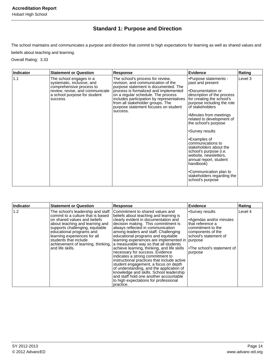## **Standard 1: Purpose and Direction**

The school maintains and communicates a purpose and direction that commit to high expectations for learning as well as shared values and beliefs about teaching and learning.

Overall Rating: 3.33

| Indicator | <b>Statement or Question</b>                                                                                                                                     | <b>Response</b>                                                                                                                                                                                                                                                                                                                    | <b>Evidence</b>                                                                                                                                                                                                                                                                                                                                                                                                                                                                                                   | Rating  |
|-----------|------------------------------------------------------------------------------------------------------------------------------------------------------------------|------------------------------------------------------------------------------------------------------------------------------------------------------------------------------------------------------------------------------------------------------------------------------------------------------------------------------------|-------------------------------------------------------------------------------------------------------------------------------------------------------------------------------------------------------------------------------------------------------------------------------------------------------------------------------------------------------------------------------------------------------------------------------------------------------------------------------------------------------------------|---------|
| 1.1       | The school engages in a<br>systematic, inclusive, and<br>comprehensive process to<br>review, revise, and communicate<br>a school purpose for student<br>success. | The school's process for review,<br>revision, and communication of the<br>purpose statement is documented. The<br>process is formalized and implemented<br>on a regular schedule. The process<br>includes participation by representatives<br>from all stakeholder groups. The<br>purpose statement focuses on student<br>success. | •Purpose statements -<br>past and present<br>•Documentation or<br>description of the process<br>for creating the school's<br>purpose including the role<br>of stakeholders<br>•Minutes from meetings<br>related to development of<br>the school's purpose<br>•Survey results<br>•Examples of<br>communications to<br>stakeholders about the<br>school's purpose (i.e.<br>website, newsletters,<br>annual report, student<br>handbook)<br>•Communication plan to<br>stakeholders regarding the<br>school's purpose | Level 3 |

| Indicator | <b>Statement or Question</b>                                                                                                                                                                                                                                                          | <b>Response</b>                                                                                                                                                                                                                                                                                                                                                                                                                                                                                                                                                                                                                                                                                                                                                                                                | Evidence                                                                                                                                                                        | Rating  |
|-----------|---------------------------------------------------------------------------------------------------------------------------------------------------------------------------------------------------------------------------------------------------------------------------------------|----------------------------------------------------------------------------------------------------------------------------------------------------------------------------------------------------------------------------------------------------------------------------------------------------------------------------------------------------------------------------------------------------------------------------------------------------------------------------------------------------------------------------------------------------------------------------------------------------------------------------------------------------------------------------------------------------------------------------------------------------------------------------------------------------------------|---------------------------------------------------------------------------------------------------------------------------------------------------------------------------------|---------|
| 1.2       | The school's leadership and staff<br>commit to a culture that is based<br>on shared values and beliefs<br>about teaching and learning and<br>supports challenging, equitable<br>educational programs and<br>learning experiences for all<br>students that include<br>and life skills. | Commitment to shared values and<br>beliefs about teaching and learning is<br>clearly evident in documentation and<br>decision making. This commitment is<br>always reflected in communication<br>among leaders and staff. Challenging<br>educational programs and equitable<br>learning experiences are implemented in purpose<br>achievement of learning, thinking, a measurable way so that all students<br>achieve learning, thinking, and life skills<br>necessary for success. Evidence<br>indicates a strong commitment to<br>instructional practices that include active<br>student engagement, a focus on depth<br>of understanding, and the application of<br>knowledge and skills. School leadership<br>and staff hold one another accountable<br>to high expectations for professional<br>practice. | Survey results<br>Agendas and/or minutes<br>that reference a<br>commitment to the<br>components of the<br>school's statement of<br><b>•The school's statement of</b><br>purpose | Level 4 |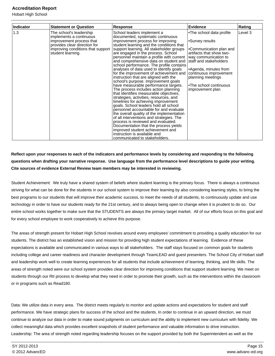Hobart High School

| <b>Indicator</b> | <b>Statement or Question</b>                             | <b>Response</b>                                                                                                     | <b>Evidence</b>                                     | Rating  |
|------------------|----------------------------------------------------------|---------------------------------------------------------------------------------------------------------------------|-----------------------------------------------------|---------|
| 1.3              | The school's leadership<br>implements a continuous       | School leaders implement a<br>documented, systematic continuous                                                     | •The school data profile                            | Level 3 |
|                  | improvement process that<br>provides clear direction for | improvement process for improving<br>student learning and the conditions that                                       | •Survey results                                     |         |
|                  | improving conditions that support<br>student learning.   | support learning. All stakeholder groups<br>are engaged in the process. School                                      | •Communication plan and<br>artifacts that show two- |         |
|                  |                                                          | personnel maintain a profile with current<br>and comprehensive data on student and                                  | way communication to<br>staff and stakeholders      |         |
|                  |                                                          | school performance. The profile contains<br>analyses of data used to identify goals                                 | •Agenda, minutes from                               |         |
|                  |                                                          | for the improvement of achievement and<br>instruction that are aligned with the                                     | continuous improvement<br>planning meetings         |         |
|                  |                                                          | school's purpose. Improvement goals<br>have measurable performance targets.<br>The process includes action planning | •The school continuous<br>improvement plan          |         |
|                  |                                                          | that identifies measurable objectives,<br>strategies, activities, resources, and                                    |                                                     |         |
|                  |                                                          | timelines for achieving improvement<br>goals. School leaders hold all school                                        |                                                     |         |
|                  |                                                          | personnel accountable for and evaluate<br>the overall quality of the implementation                                 |                                                     |         |
|                  |                                                          | of all interventions and strategies. The<br>process is reviewed and evaluated.                                      |                                                     |         |
|                  |                                                          | Documentation that the process yields<br>improved student achievement and                                           |                                                     |         |
|                  |                                                          | instruction is available and<br>communicated to stakeholders.                                                       |                                                     |         |

**Reflect upon your responses to each of the indicators and performance levels by considering and responding to the following questions when drafting your narrative response. Use language from the performance level descriptions to guide your writing. Cite sources of evidence External Review team members may be interested in reviewing.**

Student Achievement: We truly have a shared system of beliefs where student learning is the primary focus. There is always a continuous striving for what can be done for the students in our school system to improve their learning by also considering learning styles, to bring the best programs to our students that will improve their academic success, to meet the needs of all students, to continuously update and use technology in order to have our students ready for the 21st century, and to always being open to change when it is prudent to do so. Our entire school works together to make sure that the STUDENTS are always the primary target market. All of our efforts focus on this goal and for every school employee to work cooperatively to achieve this purpose.

The areas of strength present for Hobart High School revolves around every employees' commitment to providing a quality education for our students. The district has an established vision and mission for providing high student expectations of learning. Evidence of these expectations is available and communicated in various ways to all stakeholders. The staff stays focused on common goals for students including college and career readiness and character development through TeamLEAD and guest presenters. The School City of Hobart staff and leadership work well to create learning experiences for all students that include achievement of learning, thinking, and life skills. The areas of strength noted were our school system provides clear direction for improving conditions that support student learning. We meet on students through our RtI process to develop what they need in order to promote their growth, such as the interventions within the classroom or in programs such as Read180.

Data: We utilize data in every area. The district meets regularly to monitor and update actions and expectations for student and staff performance. We have strategic plans for success of the school and the students. In order to continue in an upward direction, we must continue to analyze our data in order to make sound judgments on curriculum and the ability to implement new curriculum with fidelity. We collect meaningful data which provides excellent snapshots of student performance and valuable information to drive instruction. Leadership: The area of strength noted regarding leadership focuses on the support provided by both the Superintendent as well as the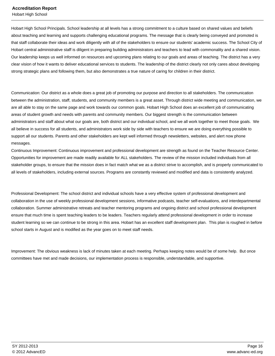Hobart High School Principals. School leadership at all levels has a strong commitment to a culture based on shared values and beliefs about teaching and learning and supports challenging educational programs. The message that is clearly being conveyed and promoted is that staff collaborate their ideas and work diligently with all of the stakeholders to ensure our students' academic success. The School City of Hobart central administrative staff is diligent in preparing building administrators and teachers to lead with commonality and a shared vision. Our leadership keeps us well informed on resources and upcoming plans relating to our goals and areas of teaching. The district has a very clear vision of how it wants to deliver educational services to students. The leadership of the district clearly not only cares about developing strong strategic plans and following them, but also demonstrates a true nature of caring for children in their district.

Communication: Our district as a whole does a great job of promoting our purpose and direction to all stakeholders. The communication between the administration, staff, students, and community members is a great asset. Through district wide meeting and communication, we are all able to stay on the same page and work towards our common goals. Hobart High School does an excellent job of communicating areas of student growth and needs with parents and community members. Our biggest strength is the communication between administrators and staff about what our goals are, both district and our individual school, and we all work together to meet those goals. We all believe in success for all students, and administrators work side by side with teachers to ensure we are doing everything possible to support all our students. Parents and other stakeholders are kept well informed through newsletters, websites, and alert now phone messages.

Continuous Improvement: Continuous improvement and professional development are strength as found on the Teacher Resource Center. Opportunities for improvement are made readily available for ALL stakeholders. The review of the mission included individuals from all stakeholder groups, to ensure that the mission does in fact match what we as a district strive to accomplish, and is properly communicated to all levels of stakeholders, including external sources. Programs are constantly reviewed and modified and data is consistently analyzed.

Professional Development: The school district and individual schools have a very effective system of professional development and collaboration in the use of weekly professional development sessions, informative podcasts, teacher self-evaluations, and interdepartmental collaboration. Summer administrative retreats and teacher mentoring programs and ongoing district and school professional development ensure that much time is spent teaching leaders to be leaders. Teachers regularly attend professional development in order to increase student learning so we can continue to be strong in this area. Hobart has an excellent staff development plan. This plan is roughed in before school starts in August and is modified as the year goes on to meet staff needs.

Improvement: The obvious weakness is lack of minutes taken at each meeting. Perhaps keeping notes would be of some help. But once committees have met and made decisions, our implementation process is responsible, understandable, and supportive.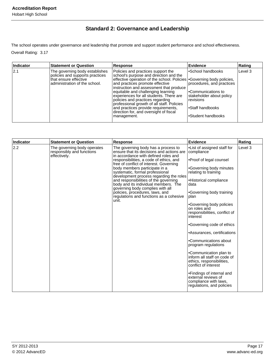## **Standard 2: Governance and Leadership**

The school operates under governance and leadership that promote and support student performance and school effectiveness.

Overall Rating: 3.17

| Indicator | <b>Statement or Question</b>                                                                                                 | <b>Response</b>                                                                                                                                                                                                                                                                                                                                                                                                                                                                                         | <b>Evidence</b>                                                                                                                                                          | Rating  |
|-----------|------------------------------------------------------------------------------------------------------------------------------|---------------------------------------------------------------------------------------------------------------------------------------------------------------------------------------------------------------------------------------------------------------------------------------------------------------------------------------------------------------------------------------------------------------------------------------------------------------------------------------------------------|--------------------------------------------------------------------------------------------------------------------------------------------------------------------------|---------|
| 2.1       | The governing body establishes<br>policies and supports practices<br>Ithat ensure effective<br>administration of the school. | Policies and practices support the<br>school's purpose and direction and the<br>effective operation of the school. Policies   Governing body policies,<br>and practices promote effective<br>instruction and assessment that produce<br>equitable and challenging learning<br>experiences for all students. There are<br>policies and practices regarding<br>professional growth of all staff. Policies<br>and practices provide requirements,<br>direction for, and oversight of fiscal<br>management. | l•School handbooks<br>procedures, and practices<br>l•Communications to<br>stakeholder about policy<br><i><b>Irevisions</b></i><br>l∙Staff handbooks<br>Student handbooks | Level 3 |

| Indicator | <b>Statement or Question</b>                                             | <b>Response</b>                                                                                                                                                                                                                                                                                                                                                                                                                                                                                                                           | <b>Evidence</b>                                                                                                                                                                                                                                                                                                                                                                                                                                                                                                                                                                                                            | Rating  |
|-----------|--------------------------------------------------------------------------|-------------------------------------------------------------------------------------------------------------------------------------------------------------------------------------------------------------------------------------------------------------------------------------------------------------------------------------------------------------------------------------------------------------------------------------------------------------------------------------------------------------------------------------------|----------------------------------------------------------------------------------------------------------------------------------------------------------------------------------------------------------------------------------------------------------------------------------------------------------------------------------------------------------------------------------------------------------------------------------------------------------------------------------------------------------------------------------------------------------------------------------------------------------------------------|---------|
| 2.2       | The governing body operates<br>responsibly and functions<br>effectively. | The governing body has a process to<br>ensure that its decisions and actions are<br>in accordance with defined roles and<br>responsibilities, a code of ethics, and<br>free of conflict of interest. Governing<br>body members participate in a<br>systematic, formal professional<br>development process regarding the roles<br>and responsibilities of the governing<br>body and its individual members. The<br>governing body complies with all<br>policies, procedures, laws, and<br>regulations and functions as a cohesive<br>unit. | •List of assigned staff for<br>compliance<br>•Proof of legal counsel<br>•Governing body minutes<br>relating to training<br>•Historical compliance<br>data<br>•Governing body training<br>plan<br>•Governing body policies<br>on roles and<br>responsibilities, conflict of<br>interest<br>•Governing code of ethics<br>•Assurances, certifications<br>•Communications about<br>program regulations<br>•Communication plan to<br>inform all staff on code of<br>ethics, responsibilities,<br>conflict of interest<br>•Findings of internal and<br>external reviews of<br>compliance with laws.<br>regulations, and policies | Level 3 |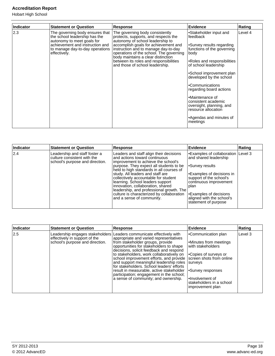Hobart High School

| <b>Indicator</b> | <b>Statement or Question</b>                                                                                                                                                         | <b>Response</b>                                                                                                                                                                                                                                                                                                                                           | Evidence                                                                                                                                                                                                                                                                                                                                                                                               | Rating  |
|------------------|--------------------------------------------------------------------------------------------------------------------------------------------------------------------------------------|-----------------------------------------------------------------------------------------------------------------------------------------------------------------------------------------------------------------------------------------------------------------------------------------------------------------------------------------------------------|--------------------------------------------------------------------------------------------------------------------------------------------------------------------------------------------------------------------------------------------------------------------------------------------------------------------------------------------------------------------------------------------------------|---------|
| 2.3              | The governing body ensures that<br>the school leadership has the<br>autonomy to meet goals for<br>achievement and instruction and<br>to manage day-to-day operations<br>effectively. | The governing body consistently<br>protects, supports, and respects the<br>autonomy of school leadership to<br>accomplish goals for achievement and<br>instruction and to manage day-to-day<br>operations of the school. The governing<br>body maintains a clear distinction<br>between its roles and responsibilities<br>and those of school leadership. | •Stakeholder input and<br>feedback<br>•Survey results regarding<br>functions of the governing<br>lbodv<br>•Roles and responsibilities<br>of school leadership<br>•School improvement plan<br>developed by the school<br>•Communications<br>regarding board actions<br>•Maintenance of<br>consistent academic<br>oversight, planning, and<br>resource allocation<br>•Agendas and minutes of<br>meetings | Level 4 |

| Indicator | <b>Statement or Question</b>                                                                    | Response                                                                                                                                                                                                                                                                                                                                                                                                                                                                          | Evidence                                                                                                                                                                                                                                               | Rating |
|-----------|-------------------------------------------------------------------------------------------------|-----------------------------------------------------------------------------------------------------------------------------------------------------------------------------------------------------------------------------------------------------------------------------------------------------------------------------------------------------------------------------------------------------------------------------------------------------------------------------------|--------------------------------------------------------------------------------------------------------------------------------------------------------------------------------------------------------------------------------------------------------|--------|
| 2.4       | Leadership and staff foster a<br>culture consistent with the<br>school's purpose and direction. | Leaders and staff align their decisions<br>and actions toward continuous<br>improvement to achieve the school's<br>purpose. They expect all students to be<br>held to high standards in all courses of<br>study. All leaders and staff are<br>collectively accountable for student<br>learning. School leaders support<br>innovation, collaboration, shared<br>leadership, and professional growth. The<br>culture is characterized by collaboration<br>and a sense of community. | •Examples of collaboration   Level 3<br>and shared leadership<br>Survey results<br>Examples of decisions in<br>support of the school's<br>continuous improvement<br>plan<br>Examples of decisions<br>aligned with the school's<br>statement of purpose |        |

| Indicator | <b>Statement or Question</b>                                     | <b>Response</b>                                                                                                                                                                                                                                                                                                                                                                                                                                                                                                                                           | Evidence                                                                                                                                                                                                                         | Rating  |
|-----------|------------------------------------------------------------------|-----------------------------------------------------------------------------------------------------------------------------------------------------------------------------------------------------------------------------------------------------------------------------------------------------------------------------------------------------------------------------------------------------------------------------------------------------------------------------------------------------------------------------------------------------------|----------------------------------------------------------------------------------------------------------------------------------------------------------------------------------------------------------------------------------|---------|
| 2.5       | effectively in support of the<br>school's purpose and direction. | Leadership engages stakeholders Leaders communicate effectively with<br>appropriate and varied representatives<br>from stakeholder groups, provide<br>opportunities for stakeholders to shape<br>decisions, solicit feedback and respond<br>to stakeholders, work collaboratively on<br>school improvement efforts, and provide  <br>and support meaningful leadership roles<br>for stakeholders. School leaders' efforts<br>result in measurable, active stakeholder<br>participation; engagement in the school;<br>a sense of community; and ownership. | Communication plan<br>Minutes from meetings <br>with stakeholders<br><b>Copies of surveys or</b><br>screen shots from online<br>Isurvevs<br>Survey responses<br>l•Involvement of<br>stakeholders in a school<br>improvement plan | Level 3 |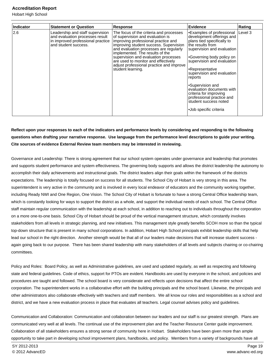Hobart High School

| Indicator | <b>Statement or Question</b>                                                                                                     | <b>Response</b>                                                                                                                                                                                                                                                                                                                                                                           | <b>Evidence</b>                                                                                                                                                                                                                                                                                                                                                                                                          | Rating  |
|-----------|----------------------------------------------------------------------------------------------------------------------------------|-------------------------------------------------------------------------------------------------------------------------------------------------------------------------------------------------------------------------------------------------------------------------------------------------------------------------------------------------------------------------------------------|--------------------------------------------------------------------------------------------------------------------------------------------------------------------------------------------------------------------------------------------------------------------------------------------------------------------------------------------------------------------------------------------------------------------------|---------|
| 2.6       | Leadership and staff supervision<br>and evaluation processes result<br>in improved professional practice<br>and student success. | The focus of the criteria and processes<br>of supervision and evaluation is<br>improving professional practice and<br>improving student success. Supervision<br>and evaluation processes are regularly<br>implemented. The results of the<br>supervision and evaluation processes<br>are used to monitor and effectively<br>adjust professional practice and improve<br>student learning. | •Examples of professional<br>development offerings and<br>plans tied specifically to<br>the results from<br>supervision and evaluation<br>•Governing body policy on<br>supervision and evaluation<br>•Representative<br>supervision and evaluation<br>reports<br>•Supervision and<br>evaluation documents with<br>criteria for improving<br>professional practice and<br>student success noted<br>•Job specific criteria | Level 3 |

## **Reflect upon your responses to each of the indicators and performance levels by considering and responding to the following questions when drafting your narrative response. Use language from the performance level descriptions to guide your writing. Cite sources of evidence External Review team members may be interested in reviewing.**

Governance and Leadership: There is strong agreement that our school system operates under governance and leadership that promotes and supports student performance and system effectiveness. The governing body supports and allows the district leadership the autonomy to accomplish their daily achievements and instructional goals. The district leaders align their goals within the framework of the districts expectations. The leadership is totally focused on success for all students. The School City of Hobart is very strong in this area. The superintendent is very active in the community and is involved in every local endeavor of educators and the community working together, including Ready NWI and One Region, One Vision. The School City of Hobart is fortunate to have a strong Central Office leadership team, which is constantly looking for ways to support the district as a whole, and support the individual needs of each school. The Central Office staff maintain regular communication with the leadership at each school, in addition to reaching out to individuals throughout the corporation on a more one-to-one basis. School City of Hobart should be proud of the vertical management structure, which constantly involves stakeholders from all levels in strategic planning, and new initiatives. This management style greatly benefits SCOH more so than the typical top-down structure that is present in many school corporations. In addition, Hobart High School principals exhibit leadership skills that help lead our school in the right direction. Another strength would be that all of our leaders make decisions that will increase student success again going back to our purpose. There has been shared leadership with many stakeholders of all levels and subjects chairing or co-chairing committees.

Policy and Roles: Board Policy, as well as Administrative guidelines, are used and updated regularly, as well as respecting and following state and federal guidelines. Code of ethics, support for PTOs are evident. Handbooks are used by everyone in the school, and policies and procedures are taught and followed. The school board is very considerate and reflects upon decisions that affect the entire school corporation. The superintendent works in a collaborative effort with the building principals and the school board. Likewise, the principals and other administrators also collaborate effectively with teachers and staff members. We all know our roles and responsibilities as a school and district, and we have a new evaluation process in place that evaluates all teachers. Legal counsel advises policy and guidelines.

Communication and Collaboration: Communication and collaboration between our leaders and our staff is our greatest strength. Plans are communicated very well at all levels. The continual use of the improvement plan and the Teacher Resource Center guide improvement. Collaboration of all stakeholders ensures a strong sense of community here in Hobart. Stakeholders have been given more than ample opportunity to take part in developing school improvement plans, handbooks, and policy. Members from a variety of backgrounds have all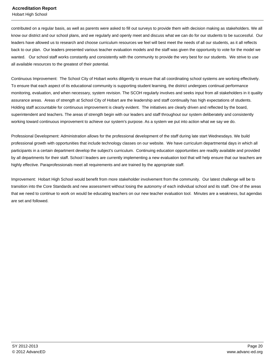Hobart High School

contributed on a regular basis, as well as parents were asked to fill out surveys to provide them with decision making as stakeholders. We all know our district and our school plans, and we regularly and openly meet and discuss what we can do for our students to be successful. Our leaders have allowed us to research and choose curriculum resources we feel will best meet the needs of all our students, as it all reflects back to our plan. Our leaders presented various teacher evaluation models and the staff was given the opportunity to vote for the model we wanted. Our school staff works constantly and consistently with the community to provide the very best for our students. We strive to use all available resources to the greatest of their potential.

Continuous Improvement: The School City of Hobart works diligently to ensure that all coordinating school systems are working effectively. To ensure that each aspect of its educational community is supporting student learning, the district undergoes continual performance monitoring, evaluation, and when necessary, system revision. The SCOH regularly involves and seeks input from all stakeholders in it quality assurance areas. Areas of strength at School City of Hobart are the leadership and staff continually has high expectations of students. Holding staff accountable for continuous improvement is clearly evident. The initiatives are clearly driven and reflected by the board, superintendent and teachers. The areas of strength begin with our leaders and staff throughout our system deliberately and consistently working toward continuous improvement to achieve our system's purpose. As a system we put into action what we say we do.

Professional Development: Administration allows for the professional development of the staff during late start Wednesdays. We build professional growth with opportunities that include technology classes on our website. We have curriculum departmental days in which all participants in a certain department develop the subject's curriculum. Continuing education opportunities are readily available and provided by all departments for their staff. School l leaders are currently implementing a new evaluation tool that will help ensure that our teachers are highly effective. Paraprofessionals meet all requirements and are trained by the appropriate staff.

Improvement: Hobart High School would benefit from more stakeholder involvement from the community. Our latest challenge will be to transition into the Core Standards and new assessment without losing the autonomy of each individual school and its staff. One of the areas that we need to continue to work on would be educating teachers on our new teacher evaluation tool. Minutes are a weakness, but agendas are set and followed.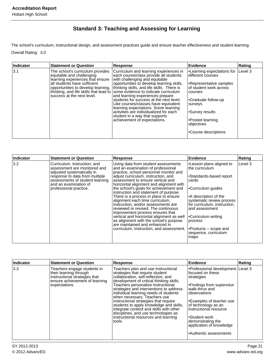## **Standard 3: Teaching and Assessing for Learning**

The school's curriculum, instructional design, and assessment practices guide and ensure teacher effectiveness and student learning. Overall Rating: 3.0

| Indicator | <b>Statement or Question</b>                                                                                                                                    | Response                                                                                                                                                                                                                                                                                                                                                                                                                                                                                                                                                                                                    | Evidence                                                                                                                                                                                                                                  | Rating    |
|-----------|-----------------------------------------------------------------------------------------------------------------------------------------------------------------|-------------------------------------------------------------------------------------------------------------------------------------------------------------------------------------------------------------------------------------------------------------------------------------------------------------------------------------------------------------------------------------------------------------------------------------------------------------------------------------------------------------------------------------------------------------------------------------------------------------|-------------------------------------------------------------------------------------------------------------------------------------------------------------------------------------------------------------------------------------------|-----------|
| 3.1       | The school's curriculum provides<br>equitable and challenging<br>learning experiences that ensure<br>all students have sufficient<br>success at the next level. | Curriculum and learning experiences in<br>each course/class provide all students<br>with challenging and equitable<br>opportunities to develop learning skills,<br>opportunities to develop learning,  thinking skills, and life skills. There is<br>thinking, and life skills that lead to some evidence to indicate curriculum<br>and learning experiences prepare<br>students for success at the next level.<br>Like courses/classes have equivalent<br>Iearning expectations. Some learning<br>activities are individualized for each<br>student in a way that supports<br>achievement of expectations. | •Learning expectations for<br>different courses<br>Representative samples<br>of student work across<br>courses<br>Graduate follow-up-<br>surveys<br>Survey results <sup>-</sup><br>•Posted learning<br>objectives<br>•Course descriptions | l Level 3 |

| Indicator | <b>Statement or Question</b>                                                                                                                                                                                       | <b>Response</b>                                                                                                                                                                                                                                                                                                                                                                                                                                                                                                                                                                                                                                                                                                         | <b>Evidence</b>                                                                                                                                                                                                                                                                 | Rating  |
|-----------|--------------------------------------------------------------------------------------------------------------------------------------------------------------------------------------------------------------------|-------------------------------------------------------------------------------------------------------------------------------------------------------------------------------------------------------------------------------------------------------------------------------------------------------------------------------------------------------------------------------------------------------------------------------------------------------------------------------------------------------------------------------------------------------------------------------------------------------------------------------------------------------------------------------------------------------------------------|---------------------------------------------------------------------------------------------------------------------------------------------------------------------------------------------------------------------------------------------------------------------------------|---------|
| 3.2       | Curriculum, instruction, and<br>assessment are monitored and<br>adjusted systematically in<br>response to data from multiple<br>assessments of student learning<br>and an examination of<br>professional practice. | Using data from student assessments<br>and an examination of professional<br>practice, school personnel monitor and<br>adjust curriculum, instruction, and<br>assessment to ensure vertical and<br>horizontal alignment and alignment with<br>the school's goals for achievement and<br>instruction and statement of purpose.<br>There is a process in place to ensure<br>alignment each time curriculum,<br>instruction, and/or assessments are<br>reviewed or revised. The continuous<br>improvement process ensures that<br>vertical and horizontal alignment as well<br>as alignment with the school's purpose<br>are maintained and enhanced in<br>curriculum, instruction, and assessment.   Products – scope and | •Lesson plans aligned to<br>lthe curriculum<br>•Standards-based report<br>cards<br>•Curriculum guides<br>A description of the<br>systematic review process<br>for curriculum, instruction,<br>and assessment<br> ∙Curriculum writing<br>process<br>sequence, curriculum<br>maps | Level 3 |

| Indicator | <b>Statement or Question</b>                                                                                                              | <b>Response</b>                                                                                                                                                                                                                                                                                                                                                                                                                                                                                                                              | <b>Evidence</b>                                                                                                                                                                                                                                                                                              | Rating |
|-----------|-------------------------------------------------------------------------------------------------------------------------------------------|----------------------------------------------------------------------------------------------------------------------------------------------------------------------------------------------------------------------------------------------------------------------------------------------------------------------------------------------------------------------------------------------------------------------------------------------------------------------------------------------------------------------------------------------|--------------------------------------------------------------------------------------------------------------------------------------------------------------------------------------------------------------------------------------------------------------------------------------------------------------|--------|
| 3.3       | Teachers engage students in<br>their learning through<br>instructional strategies that<br>ensure achievement of learning<br>expectations. | Teachers plan and use instructional<br>strategies that require student<br>collaboration, self-reflection, and<br>development of critical thinking skills.<br>Teachers personalize instructional<br>strategies and interventions to address<br>individual learning needs of students<br>when necessary. Teachers use<br>instructional strategies that require<br>students to apply knowledge and skills,<br>integrate content and skills with other<br>disciplines, and use technologies as<br>instructional resources and learning<br>tools. | Professional development Level 3<br>focused on these<br>strategies<br>Findings from supervisor-<br>lwalk-thrus and<br>lobservations<br>Examples of teacher use<br>of technology as an<br>linstructional resource<br>•Student work<br>demonstrating the<br>application of knowledge<br>•Authentic assessments |        |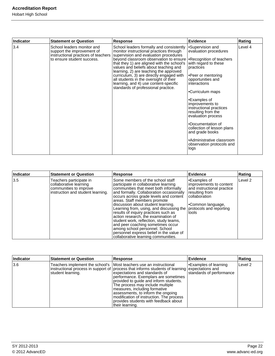| <b>Indicator</b> | <b>Statement or Question</b>                                                                                                  | Response                                                                                                                                                                                                                                                                                                                                                                                                                                                                                                | <b>Evidence</b>                                                                                                                                                                                                                                                                                                                                                                                                 | Rating  |
|------------------|-------------------------------------------------------------------------------------------------------------------------------|---------------------------------------------------------------------------------------------------------------------------------------------------------------------------------------------------------------------------------------------------------------------------------------------------------------------------------------------------------------------------------------------------------------------------------------------------------------------------------------------------------|-----------------------------------------------------------------------------------------------------------------------------------------------------------------------------------------------------------------------------------------------------------------------------------------------------------------------------------------------------------------------------------------------------------------|---------|
| 3.4              | School leaders monitor and<br>support the improvement of<br>instructional practices of teachers<br>to ensure student success. | School leaders formally and consistently<br>monitor instructional practices through<br>supervision and evaluation procedures<br>beyond classroom observation to ensure   Recognition of teachers<br>that they 1) are aligned with the school's<br>values and beliefs about teaching and<br>learning, 2) are teaching the approved<br>curriculum, 3) are directly engaged with<br>all students in the oversight of their<br>learning, and 4) use content-specific<br>standards of professional practice. | •Supervision and<br>evaluation procedures<br>with regard to these<br>practices<br>•Peer or mentoring<br>opportunities and<br>interactions<br>•Curriculum maps<br>•Examples of<br>improvements to<br>instructional practices<br>resulting from the<br>evaluation process<br>•Documentation of<br>collection of lesson plans<br>and grade books<br>•Administrative classroom<br>observation protocols and<br>logs | Level 4 |

| Indicator | <b>Statement or Question</b>                                                                                     | <b>Response</b>                                                                                                                                                                                                                                                                                                                                                                                                                                                                                                                                                                                                                       | Evidence                                                                                                                                       | Rating             |
|-----------|------------------------------------------------------------------------------------------------------------------|---------------------------------------------------------------------------------------------------------------------------------------------------------------------------------------------------------------------------------------------------------------------------------------------------------------------------------------------------------------------------------------------------------------------------------------------------------------------------------------------------------------------------------------------------------------------------------------------------------------------------------------|------------------------------------------------------------------------------------------------------------------------------------------------|--------------------|
| 3.5       | Teachers participate in<br>collaborative learning<br>communities to improve<br>instruction and student learning. | Some members of the school staff<br>participate in collaborative learning<br>communities that meet both informally<br>and formally. Collaboration occasionally<br>occurs across grade levels and content<br>areas. Staff members promote<br>discussion about student learning.<br>Learning from, using, and discussing the protocols and reporting<br>results of inquiry practices such as<br>action research, the examination of<br>student work, reflection, study teams,<br>and peer coaching sometimes occur<br>among school personnel. School<br>personnel express belief in the value of<br>collaborative learning communities. | l•Examples of<br>improvements to content<br>and instructional practice<br>resulting from<br>collaboration<br><b>Common language,</b><br>Itools | Level <sub>2</sub> |

| Indicator | <b>Statement or Question</b> | Response                                                                                                                                                                                                                                                                                                                                                                                                                                                                                                       | Evidence                                         | Rating  |
|-----------|------------------------------|----------------------------------------------------------------------------------------------------------------------------------------------------------------------------------------------------------------------------------------------------------------------------------------------------------------------------------------------------------------------------------------------------------------------------------------------------------------------------------------------------------------|--------------------------------------------------|---------|
| 13.6      | student learning.            | Teachers implement the school's   Most teachers use an instructional<br>instructional process in support of  process that informs students of learning  expectations and<br>expectations and standards of<br>performance. Exemplars are sometimes<br>provided to guide and inform students.<br>The process may include multiple<br>measures, including formative<br>assessments, to inform the ongoing<br>modification of instruction. The process<br>provides students with feedback about<br>their learning. | Examples of learning<br>standards of performance | Level 2 |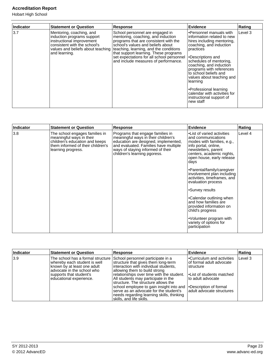Hobart High School

| Indicator | <b>Statement or Question</b>                                                                                                         | <b>Response</b>                                                                                                                                                                                                                                                                                                                                               | Evidence                                                                                                                                                                                                                                                                                                                                                                                                   | Rating  |
|-----------|--------------------------------------------------------------------------------------------------------------------------------------|---------------------------------------------------------------------------------------------------------------------------------------------------------------------------------------------------------------------------------------------------------------------------------------------------------------------------------------------------------------|------------------------------------------------------------------------------------------------------------------------------------------------------------------------------------------------------------------------------------------------------------------------------------------------------------------------------------------------------------------------------------------------------------|---------|
| 3.7       | Mentoring, coaching, and<br>induction programs support<br>instructional improvement<br>consistent with the school's<br>and learning. | School personnel are engaged in<br>mentoring, coaching, and induction<br>programs that are consistent with the<br>school's values and beliefs about<br>values and beliefs about teaching teaching, learning, and the conditions<br>that support learning. These programs<br>set expectations for all school personnel<br>and include measures of performance. | l•Personnel manuals with<br>information related to new<br>hires including mentoring,<br>coaching, and induction<br>practices<br>l.Descriptions and<br>schedules of mentoring,<br>coaching, and induction<br>programs with references<br>to school beliefs and<br>values about teaching and<br>llearning<br>•Professional learning<br>calendar with activities for<br>instructional support of<br>new staff | Level 3 |

| <b>Indicator</b> | <b>Statement or Question</b>                                                                                                                            | <b>Response</b>                                                                                                                                                                                                               | <b>Evidence</b>                                                                                                                                                                                 | Rating  |
|------------------|---------------------------------------------------------------------------------------------------------------------------------------------------------|-------------------------------------------------------------------------------------------------------------------------------------------------------------------------------------------------------------------------------|-------------------------------------------------------------------------------------------------------------------------------------------------------------------------------------------------|---------|
| 3.8              | The school engages families in<br>meaningful ways in their<br>children's education and keeps<br>them informed of their children's<br>learning progress. | Programs that engage families in<br>meaningful ways in their children's<br>education are designed, implemented,<br>and evaluated. Families have multiple<br>ways of staying informed of their<br>children's learning pgoress. | •List of varied activities<br>and communications<br>modes with families, e.g.,<br>info portal, online,<br>newsletters, parent<br>centers, academic nights,<br>open house, early release<br>days | Level 4 |
|                  |                                                                                                                                                         |                                                                                                                                                                                                                               | •Parental/family/caregiver<br>involvement plan including<br>activities, timeframes, and<br>evaluation process                                                                                   |         |
|                  |                                                                                                                                                         |                                                                                                                                                                                                                               | •Survey results                                                                                                                                                                                 |         |
|                  |                                                                                                                                                         |                                                                                                                                                                                                                               | •Calendar outlining when<br>and how families are<br>provided information on<br>child's progress                                                                                                 |         |
|                  |                                                                                                                                                         | •Volunteer program with<br>variety of options for<br>participation                                                                                                                                                            |                                                                                                                                                                                                 |         |

| Indicator | <b>Statement or Question</b>                                                                                                                                                                                            | <b>Response</b>                                                                                                                                                                                                                                                                                                                                                                                         | <b>Evidence</b>                                                                                                                                                                         | Rating  |
|-----------|-------------------------------------------------------------------------------------------------------------------------------------------------------------------------------------------------------------------------|---------------------------------------------------------------------------------------------------------------------------------------------------------------------------------------------------------------------------------------------------------------------------------------------------------------------------------------------------------------------------------------------------------|-----------------------------------------------------------------------------------------------------------------------------------------------------------------------------------------|---------|
| 3.9       | The school has a formal structure School personnel participate in a<br>whereby each student is well<br>known by at least one adult<br>ladvocate in the school who<br>supports that student's<br>educational experience. | structure that gives them long-term<br>interaction with individual students,<br>allowing them to build strong<br>relationships over time with the student.<br>All students may participate in the<br>structure. The structure allows the<br>school employee to gain insight into and<br>serve as an advocate for the student's<br>needs regarding learning skills, thinking<br>skills, and life skills. | l∙Curriculum and activities<br>lof formal adult advocate<br>structure<br>l•List of students matched<br>lto adult advocate<br><b>Description of formal</b><br>ladult advocate structures | Level 3 |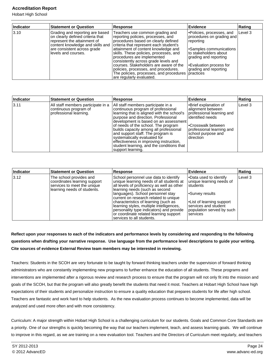Hobart High School

| Indicator | <b>Statement or Question</b>                                                                                                                                                                 | <b>Response</b>                                                                                                                                                                                                                                                                                                                                                                                                                                                        | Evidence                                                                                                                                                                                                                | Rating  |
|-----------|----------------------------------------------------------------------------------------------------------------------------------------------------------------------------------------------|------------------------------------------------------------------------------------------------------------------------------------------------------------------------------------------------------------------------------------------------------------------------------------------------------------------------------------------------------------------------------------------------------------------------------------------------------------------------|-------------------------------------------------------------------------------------------------------------------------------------------------------------------------------------------------------------------------|---------|
| 3.10      | Grading and reporting are based<br>on clearly defined criteria that<br>represent the attainment of<br>content knowledge and skills and<br>are consistent across grade<br>levels and courses. | Teachers use common grading and<br>reporting policies, processes, and<br>procedures based on clearly defined<br>criteria that represent each student's<br>attainment of content knowledge and<br>skills. These policies, processes, and<br>procedures are implemented<br>consistently across grade levels and<br>courses. Stakeholders are aware of the<br>policies, processes, and procedures.<br>The policies, processes, and procedures<br>are regularly evaluated. | Policies, processes, and<br>procedures on grading and<br>reporting<br>Samples communications <br Ito stakeholders about<br>grading and reporting<br>Evaluation process for<br>grading and reporting<br><b>practices</b> | Level 3 |

| Indicator | <b>Statement or Question</b>                                                          | <b>Response</b>                                                                                                                                                                                                                                                                                                                                                                                                                                                           | Evidence                                                                                                                                                                            | Rating  |
|-----------|---------------------------------------------------------------------------------------|---------------------------------------------------------------------------------------------------------------------------------------------------------------------------------------------------------------------------------------------------------------------------------------------------------------------------------------------------------------------------------------------------------------------------------------------------------------------------|-------------------------------------------------------------------------------------------------------------------------------------------------------------------------------------|---------|
| 3.11      | All staff members participate in a<br>continuous program of<br>professional learning. | All staff members participate in a<br>continuous program of professional<br>learning that is aligned with the school's<br>purpose and direction. Professional<br>development is based on an assessment<br>of needs of the school. The program<br>builds capacity among all professional<br>and support staff. The program is<br>systematically evaluated for<br>effectiveness in improving instruction,<br>student learning, and the conditions that<br>support learning. | •Brief explanation of<br>alignment between<br>professional learning and<br>lidentified needs<br>l•Crosswalk between<br>professional learning and<br>school purpose and<br>direction | Level 3 |

| Indicator | <b>Statement or Question</b>                                                                                          | Response                                                                                                                                                                                                                                                                                                                                                                                                                                               | Evidence                                                                                                                                                                                                               | Rating  |
|-----------|-----------------------------------------------------------------------------------------------------------------------|--------------------------------------------------------------------------------------------------------------------------------------------------------------------------------------------------------------------------------------------------------------------------------------------------------------------------------------------------------------------------------------------------------------------------------------------------------|------------------------------------------------------------------------------------------------------------------------------------------------------------------------------------------------------------------------|---------|
| 3.12      | The school provides and<br>coordinates learning support<br>services to meet the unique<br>learning needs of students. | School personnel use data to identify<br>unique learning needs of all students at<br>all levels of proficiency as well as other<br>learning needs (such as second<br>languages). School personnel stay<br>current on research related to unique<br>characteristics of learning (such as<br>learning styles, multiple intelligences,<br>personality type indicators) and provide<br>or coordinate related learning support<br>services to all students. | Data used to identify <a><br/>unique learning needs of<br/><b>Istudents</b><br/>Survey results<sup></sup><br/><b>-List of learning support</b><br/>services and student<br/>population served by such<br/>services</a> | Level 3 |

## **Reflect upon your responses to each of the indicators and performance levels by considering and responding to the following questions when drafting your narrative response. Use language from the performance level descriptions to guide your writing. Cite sources of evidence External Review team members may be interested in reviewing.**

Teachers: Students in the SCOH are very fortunate to be taught by forward thinking teachers under the supervision of forward thinking administrators who are constantly implementing new programs to further enhance the education of all students. These programs and interventions are implemented after a rigorous review and research process to ensure that the program will not only fit into the mission and goals of the SCOH, but that the program will also greatly benefit the students that need it most. Teachers at Hobart High School have high expectations of their students and personalize instruction to ensure a quality education that prepares students for life after high school. Teachers are fantastic and work hard to help students. As the new evaluation process continues to become implemented, data will be analyzed and used more often and with more consistency.

Curriculum: A major strength within Hobart High School is a challenging curriculum for our students. Goals and Common Core Standards are a priority. One of our strengths is quickly becoming the way that our teachers implement, teach, and assess learning goals. We will continue to improve in this regard, as we are training on a new evaluation tool. Teachers and the Directors of Curriculum meet regularly, and teachers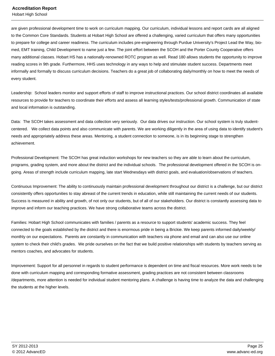are given professional development time to work on curriculum mapping. Our curriculum, individual lessons and report cards are all aligned to the Common Core Standards. Students at Hobart High School are offered a challenging, varied curriculum that offers many opportunities to prepare for college and career readiness. The curriculum includes pre-engineering through Purdue University's Project Lead the Way, biomed, EMT training, Child Development to name just a few. The joint effort between the SCOH and the Porter County Cooperative offers many additional classes. Hobart HS has a nationally-renowned ROTC program as well. Read 180 allows students the opportunity to improve reading scores in 9th grade. Furthermore, HHS uses technology in any ways to help and stimulate student success. Departments meet informally and formally to discuss curriculum decisions. Teachers do a great job of collaborating daily/monthly on how to meet the needs of every student.

Leadership: School leaders monitor and support efforts of staff to improve instructional practices. Our school district coordinates all available resources to provide for teachers to coordinate their efforts and assess all learning styles/tests/professional growth. Communication of state and local information is outstanding.

Data: The SCOH takes assessment and data collection very seriously. Our data drives our instruction. Our school system is truly studentcentered. We collect data points and also communicate with parents. We are working diligently in the area of using data to identify student's needs and appropriately address these areas. Mentoring, a student connection to someone, is in its beginning stage to strengthen achievement.

Professional Development: The SCOH has great induction workshops for new teachers so they are able to learn about the curriculum, programs, grading system, and more about the district and the individual schools. The professional development offered in the SCOH is ongoing. Areas of strength include curriculum mapping, late start Wednesdays with district goals, and evaluation/observations of teachers.

Continuous Improvement: The ability to continuously maintain professional development throughout our district is a challenge, but our district consistently offers opportunities to stay abreast of the current trends in education, while still maintaining the current needs of our students. Success is measured in ability and growth, of not only our students, but of all of our stakeholders. Our district is constantly assessing data to improve and inform our teaching practices. We have strong collaborative teams across the district.

Families: Hobart High School communicates with families / parents as a resource to support students' academic success. They feel connected to the goals established by the district and there is enormous pride in being a Brickie. We keep parents informed daily/weekly/ monthly on our expectations. Parents are constantly in communication with teachers via phone and email and can also use our online system to check their child's grades. We pride ourselves on the fact that we build positive relationships with students by teachers serving as mentors coaches, and advocates for students.

Improvement: Support for all personnel in regards to student performance is dependent on time and fiscal resources. More work needs to be done with curriculum mapping and corresponding formative assessment, grading practices are not consistent between classrooms /departments, more attention is needed for individual student mentoring plans. A challenge is having time to analyze the data and challenging the students at the higher levels.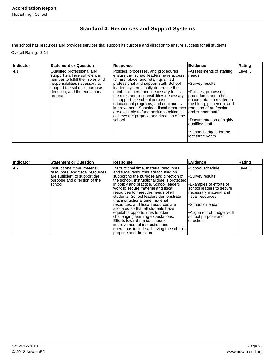## **Standard 4: Resources and Support Systems**

The school has resources and provides services that support its purpose and direction to ensure success for all students.

Overall Rating: 3.14

| Indicator | <b>Statement or Question</b>                                                                                                                                                                                       | <b>Response</b>                                                                                                                                                                                                                                                                                                                                                                                                                                                                                                              | Evidence                                                                                                                                                                                                                                                                                                       | Rating  |
|-----------|--------------------------------------------------------------------------------------------------------------------------------------------------------------------------------------------------------------------|------------------------------------------------------------------------------------------------------------------------------------------------------------------------------------------------------------------------------------------------------------------------------------------------------------------------------------------------------------------------------------------------------------------------------------------------------------------------------------------------------------------------------|----------------------------------------------------------------------------------------------------------------------------------------------------------------------------------------------------------------------------------------------------------------------------------------------------------------|---------|
| 4.1       | Qualified professional and<br>support staff are sufficient in<br>number to fulfill their roles and<br>responsibilities necessary to<br>support the school's purpose,<br>direction, and the educational<br>program. | Policies, processes, and procedures<br>ensure that school leaders have access<br>to, hire, place, and retain qualified<br>professional and support staff. School<br>leaders systematically determine the<br>number of personnel necessary to fill all<br>the roles and responsibilities necessary<br>to support the school purpose,<br>educational programs, and continuous<br>improvement. Sustained fiscal resources<br>are available to fund positions critical to<br>achieve the purpose and direction of the<br>school. | •Assessments of staffing<br>needs<br>•Survey results<br>⊩Policies, processes,<br>procedures and other<br>documentation related to<br>the hiring, placement and<br>retention of professional<br>and support staff<br>•Documentation of highly<br>qualified staff<br>•School budgets for the<br>last three years | Level 3 |

| Indicator | <b>Statement or Question</b>                                    | Response                                                                               | Evidence                                             | Rating  |
|-----------|-----------------------------------------------------------------|----------------------------------------------------------------------------------------|------------------------------------------------------|---------|
| 4.2       | Instructional time, material<br>resources, and fiscal resources | Instructional time, material resources,<br>land fiscal resources are focused on        | •School schedule                                     | Level 3 |
|           | are sufficient to support the<br>purpose and direction of the   | supporting the purpose and direction of<br>the school. Instructional time is protected | Survey results <sup>-</sup>                          |         |
|           | school.                                                         | in policy and practice. School leaders<br>work to secure material and fiscal           | I•Examples of efforts of<br>school leaders to secure |         |
|           |                                                                 | resources to meet the needs of all<br>students. School leaders demonstrate             | necessary material and<br>fiscal resources           |         |
|           |                                                                 | that instructional time, material                                                      |                                                      |         |
|           |                                                                 | resources, and fiscal resources are<br>allocated so that all students have             | •School calendar                                     |         |
|           |                                                                 | equitable opportunities to attain<br>challenging learning expectations.                | •Alignment of budget with<br>school purpose and      |         |
|           |                                                                 | Efforts toward the continuous                                                          | direction                                            |         |
|           |                                                                 | improvement of instruction and<br>operations include achieving the school's            |                                                      |         |
|           |                                                                 | purpose and direction.                                                                 |                                                      |         |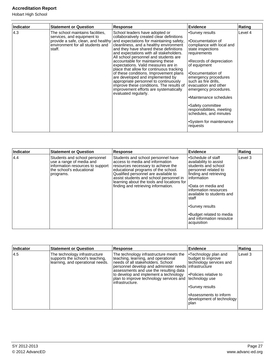Hobart High School

| Indicator | <b>Statement or Question</b>                                                                                 | <b>Response</b>                                                                                                                                                                                                                                                                                                                                                                                                                                                                                                                                                                                                                                                                                 | <b>Evidence</b>                                                                                                                                                                                                                                                                                                                                                                                                         | Rating  |
|-----------|--------------------------------------------------------------------------------------------------------------|-------------------------------------------------------------------------------------------------------------------------------------------------------------------------------------------------------------------------------------------------------------------------------------------------------------------------------------------------------------------------------------------------------------------------------------------------------------------------------------------------------------------------------------------------------------------------------------------------------------------------------------------------------------------------------------------------|-------------------------------------------------------------------------------------------------------------------------------------------------------------------------------------------------------------------------------------------------------------------------------------------------------------------------------------------------------------------------------------------------------------------------|---------|
| 4.3       | The school maintains facilities,<br>services, and equipment to<br>environment for all students and<br>staff. | School leaders have adopted or<br>collaboratively created clear definitions<br>provide a safe, clean, and healthy and expectations for maintaining safety,<br>cleanliness, and a healthy environment<br>and they have shared these definitions<br>and expectations with all stakeholders.<br>All school personnel and students are<br>accountable for maintaining these<br>expectations. Valid measures are in<br>place that allow for continuous tracking<br>of these conditions. Improvement plans<br>are developed and implemented by<br>appropriate personnel to continuously<br>improve these conditions. The results of<br>improvement efforts are systematically<br>evaluated regularly. | •Survey results<br>•Documentation of<br>compliance with local and<br>state inspections<br>requirements<br>•Records of depreciation<br>of equipment<br>l•Documentation of<br>emergency procedures<br> such as fire drills,<br>evacuation and other<br>emergency procedures.<br>•Maintenance schedules<br>•Safety committee<br>responsibilities, meeting<br>schedules, and minutes<br>•System for maintenance<br>requests | Level 4 |

| Indicator | <b>Statement or Question</b>                                                                                                           | <b>Response</b>                                                                                                                                                                                                                                                                                                            | Evidence                                                                                                                                                                                                                                                                                                                       | Rating  |
|-----------|----------------------------------------------------------------------------------------------------------------------------------------|----------------------------------------------------------------------------------------------------------------------------------------------------------------------------------------------------------------------------------------------------------------------------------------------------------------------------|--------------------------------------------------------------------------------------------------------------------------------------------------------------------------------------------------------------------------------------------------------------------------------------------------------------------------------|---------|
| 4.4       | Students and school personnel<br>use a range of media and<br>information resources to support<br>the school's educational<br>programs. | Students and school personnel have<br>access to media and information<br>resources necessary to achieve the<br>educational programs of the school.<br>Qualified personnel are available to<br>assist students and school personnel in<br>learning about the tools and locations for<br>finding and retrieving information. | l∙Schedule of staff<br>availability to assist<br>students and school<br>personnel related to<br>finding and retrieving<br>linformation<br>l•Data on media and<br>information resources<br>available to students and<br>Istaff<br>l∙Survey results<br><b>Budget related to media</b><br>and information resoutce<br>acquisition | Level 3 |

| Indicator | <b>Statement or Question</b>                                                                         | <b>Response</b>                                                                                                                                                                                                                                                                                                               | Evidence                                                                                                                                                                                                  | <b>Rating</b> |
|-----------|------------------------------------------------------------------------------------------------------|-------------------------------------------------------------------------------------------------------------------------------------------------------------------------------------------------------------------------------------------------------------------------------------------------------------------------------|-----------------------------------------------------------------------------------------------------------------------------------------------------------------------------------------------------------|---------------|
| 14.5      | The technology infrastructure<br>supports the school's teaching,<br>learning, and operational needs. | The technology infrastructure meets the<br>teaching, learning, and operational<br>needs of all stakeholders. School<br>personnel develop and administer needs infrastructure<br>assessments and use the resulting data<br>to develop and implement a technology<br>plan to improve technology services and<br>infrastructure. | l•Technology plan and<br>budget to improve<br>technology services and<br>Policies relative to<br>technology use<br>l∙Survey results<br>•Assessments to inform<br>development of technology<br><b>plan</b> | Level 3       |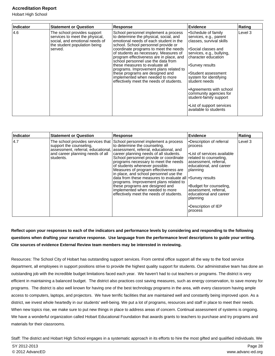Hobart High School

| Indicator | <b>Statement or Question</b>                                                                                                               | <b>Response</b>                                                                                                                                                                                                                                                                                                                                                                                                                                                                                                                 | <b>Evidence</b>                                                                                                                                                                                                                                                                                                                                                                 | Rating  |
|-----------|--------------------------------------------------------------------------------------------------------------------------------------------|---------------------------------------------------------------------------------------------------------------------------------------------------------------------------------------------------------------------------------------------------------------------------------------------------------------------------------------------------------------------------------------------------------------------------------------------------------------------------------------------------------------------------------|---------------------------------------------------------------------------------------------------------------------------------------------------------------------------------------------------------------------------------------------------------------------------------------------------------------------------------------------------------------------------------|---------|
| 4.6       | The school provides support<br>services to meet the physical,<br>social, and emotional needs of<br>the student population being<br>served. | School personnel implement a process<br>to determine the physical, social, and<br>emotional needs of each student in the<br>school. School personnel provide or<br>coordinate programs to meet the needs<br>of students as necessary. Measures of<br>program effectiveness are in place, and<br>school personnel use the data from<br>these measures to evaluate all<br>programs. Improvement plans related to<br>these programs are designed and<br>implemented when needed to more<br>effectively meet the needs of students. | •Schedule of family<br>services, e.g., parent<br>classes, survival skills<br>•Social classes and<br>services, e.g., bullying,<br>character education<br>•Survey results<br>•Student assessment<br>system for identifying<br>student needs<br>•Agreements with school<br>community agencies for<br>student-family support<br>• List of support services<br>available to students | Level 3 |

| Indicator | <b>Statement or Question</b>                                                                                    | <b>Response</b>                                                                                                                                                                                                                                                                                                                                                                                                                                                                                                                                                                                                                  | <b>Evidence</b>                                                                                                                                                                                                                                                                               | Rating  |
|-----------|-----------------------------------------------------------------------------------------------------------------|----------------------------------------------------------------------------------------------------------------------------------------------------------------------------------------------------------------------------------------------------------------------------------------------------------------------------------------------------------------------------------------------------------------------------------------------------------------------------------------------------------------------------------------------------------------------------------------------------------------------------------|-----------------------------------------------------------------------------------------------------------------------------------------------------------------------------------------------------------------------------------------------------------------------------------------------|---------|
| 4.7       | The school provides services that  <br>support the counseling,<br>and career planning needs of all<br>students. | School personnel implement a process<br>to determine the counseling.<br>assessment, referral, educational, assessment, referral, educational, and<br>career planning needs of all students.<br>School personnel provide or coordinate<br>programs necessary to meet the needs<br>of students whenever possible.<br>Measures of program effectiveness are<br>in place, and school personnel use the<br>data from these measures to evaluate all $\cdot$ Survey results<br>programs. Improvement plans related to<br>these programs are designed and<br>implemented when needed to more<br>effectively meet the needs of students. | •Description of referral<br>process<br>l•List of services available<br>related to counseling,<br>assessment, referral,<br>educational, and career<br> planning <br>Budget for counseling,<br>assessment, referral,<br>educational and career<br> planning <br>l∙Description of IEP<br>process | Level 3 |

## **Reflect upon your responses to each of the indicators and performance levels by considering and responding to the following questions when drafting your narrative response. Use language from the performance level descriptions to guide your writing. Cite sources of evidence External Review team members may be interested in reviewing.**

Resources: The School City of Hobart has outstanding support services. From central office support all the way to the food service department, all employees in support positions strive to provide the highest quality support for students. Our administrative team has done an outstanding job with the incredible budget limitations faced each year. We haven't had to cut teachers or programs. The district is very efficient in maintaining a balanced budget. The district also practices cost saving measures, such as energy conservation, to save money for programs. The district is also well known for having one of the best technology programs in the area, with every classroom having ample access to computers, laptops, and projectors. We have terrific facilities that are maintained well and constantly being improved upon. As a district, we invest whole heartedly in our students' well-being. We put a lot of programs, resources and staff in place to meet their needs. When new topics rise, we make sure to put new things in place to address areas of concern. Continual assessment of systems is ongoing. We have a wonderful organization called Hobart Educational Foundation that awards grants to teachers to purchase and try programs and materials for their classrooms.

Staff: The district and Hobart High School engages in a systematic approach in its efforts to hire the most gifted and qualified individuals. We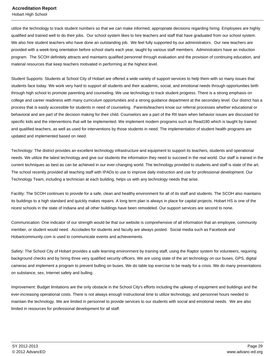Hobart High School

utilize the technology to track student numbers so that we can make informed, appropriate decisions regarding hiring. Employees are highly qualified and trained well to do their jobs. Our school system likes to hire teachers and staff that have graduated from our school system. We also hire student teachers who have done an outstanding job. We feel fully supported by our administrators. Our new teachers are provided with a week-long orientation before school starts each year, taught by various staff members. Administrators have an induction program. The SCOH definitely attracts and maintains qualified personnel through evaluation and the provision of continuing education, and material resources that keep teachers motivated in performing at the highest level.

Student Supports: Students at School City of Hobart are offered a wide variety of support services to help them with so many issues that students face today. We work very hard to support all students and their academic, social, and emotional needs through opportunities birth through high school to promote parenting and counseling. We use technology to track student progress. There is a strong emphasis on college and career readiness with many curriculum opportunities and a strong guidance department at the secondary level. Our district has a process that is easily accessible for students in need of counseling. Parents/teachers know our referral processes whether educational or behavioral and are part of the decision making for their child. Counselors are a part of the RtI team when behavior issues are discussed for specific kids and the interventions that will be implemented. We implement modern programs such as Read180 which is taught by trained and qualified teachers, as well as used for interventions by those students in need. The implementation of student health programs are updated and implemented based on need.

Technology: The district provides an excellent technology infrastructure and equipment to support its teachers, students and operational needs. We utilize the latest technology and give our students the information they need to succeed in the real world. Our staff is trained in the current techniques as best as can be achieved in our ever-changing world. The technology provided to students and staff is state of the art. The school recently provided all teaching staff with IPADs to use to improve daily instruction and use for professional development. Our Technology Team, including a technician at each building, helps us with any technology needs that arise.

Facility: The SCOH continues to provide for a safe, clean and healthy environment for all of its staff and students. The SCOH also maintains its buildings to a high standard and quickly makes repairs. A long term plan is always in place for capital projects. Hobart HS is one of the nicest schools in the state of Indiana and all other buildings have been remodeled. Our support services are second to none.

Communication: One indicator of our strength would be that our website is comprehensive of all information that an employee, community member, or student would need. Accolades for students and faculty are always posted. Social media such as Facebook and Hobartcommunity.com is used to communicate events and achievements.

Safety: The School City of Hobart provides a safe learning environment by training staff, using the Raptor system for volunteers, requiring background checks and by hiring three very qualified security officers. We are using state of the art technology on our buses, GPS, digital cameras and implement a program to prevent bulling on buses. We do table top exercise to be ready for a crisis. We do many presentations on substance, sex, Internet safety and bulling.

Improvement: Budget limitations are the only obstacle in the School City's efforts including the upkeep of equipment and buildings and the ever-increasing operational costs. There is not always enough instructional time to utilize technology, and personnel hours needed to maintain the technology. We are limited in personnel to provide services to our students with social and emotional needs. We are also limited in resources for professional development for all staff.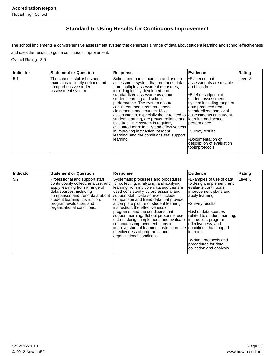## **Standard 5: Using Results for Continuous Improvement**

The school implements a comprehensive assessment system that generates a range of data about student learning and school effectiveness and uses the results to guide continuous improvement.

Overall Rating: 3.0

| Indicator | <b>Statement or Question</b>                                                                                 | <b>Response</b>                                                                                                                                                                                                                                                                                                                                                                                                                                                                                                                                                                                                                | Evidence                                                                                                                                                                                                                                                                                                                  | Rating   |
|-----------|--------------------------------------------------------------------------------------------------------------|--------------------------------------------------------------------------------------------------------------------------------------------------------------------------------------------------------------------------------------------------------------------------------------------------------------------------------------------------------------------------------------------------------------------------------------------------------------------------------------------------------------------------------------------------------------------------------------------------------------------------------|---------------------------------------------------------------------------------------------------------------------------------------------------------------------------------------------------------------------------------------------------------------------------------------------------------------------------|----------|
| 5.1       | The school establishes and<br>maintains a clearly defined and<br>comprehensive student<br>assessment system. | School personnel maintain and use an<br>assessment system that produces data<br>from multiple assessment measures,<br>including locally developed and<br>standardized assessments about<br>student learning and school<br>performance. The system ensures<br>consistent measurement across<br>classrooms and courses. Most<br>assessments, especially those related to assessments on student<br>student learning, are proven reliable and<br>bias free. The system is regularly<br>evaluated for reliability and effectiveness<br>in improving instruction, student<br>learning, and the conditions that support<br>learning. | l∙Evidence that<br>assessments are reliable<br>land bias free<br>•Brief description of<br>student assessment<br>system including range of<br>data produced from<br>standardized and local<br>learning and school<br> performance<br>I•Survey results<br>•Documentation or<br>description of evaluation<br>tools/protocols | 'Level 3 |

| Indicator | <b>Statement or Question</b>                                                                                                                                                                                                                                    | Response                                                                                                                                                                                                                                                                                                                                                                                                                                                                                                                                                                                                       | Evidence                                                                                                                                                                                                                                                                                                                                                             | Rating  |
|-----------|-----------------------------------------------------------------------------------------------------------------------------------------------------------------------------------------------------------------------------------------------------------------|----------------------------------------------------------------------------------------------------------------------------------------------------------------------------------------------------------------------------------------------------------------------------------------------------------------------------------------------------------------------------------------------------------------------------------------------------------------------------------------------------------------------------------------------------------------------------------------------------------------|----------------------------------------------------------------------------------------------------------------------------------------------------------------------------------------------------------------------------------------------------------------------------------------------------------------------------------------------------------------------|---------|
| 5.2       | Professional and support staff<br>continuously collect, analyze, and<br>apply learning from a range of<br>data sources, including<br>comparison and trend data about<br>student learning, instruction,<br>program evaluation, and<br>organizational conditions. | Systematic processes and procedures<br>for collecting, analyzing, and applying<br>learning from multiple data sources are<br>used consistently by professional and<br>support staff. Data sources include<br>comparison and trend data that provide<br>a complete picture of student learning,<br>instruction, the effectiveness of<br>programs, and the conditions that<br>support learning. School personnel use<br>data to design, implement, and evaluate<br>continuous improvement plans to<br>improve student learning, instruction, the<br>effectiveness of programs, and<br>organizational conditions. | •Examples of use of data<br>to design, implement, and<br>evaluate continuous<br>improvement plans and<br>apply learning<br>•Survey results<br>•List of data sources<br>related to student learning,<br>instruction, program<br>effectiveness, and<br>conditions that support<br>learning<br>•Written protocols and<br>procedures for data<br>collection and analysis | Level 3 |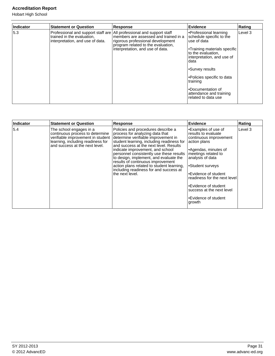Hobart High School

| Indicator | <b>Statement or Question</b>                                                                                                              | <b>Response</b>                                                                                                                                      | Evidence                                                                                                                                                                                                                                                                                                   | Rating  |
|-----------|-------------------------------------------------------------------------------------------------------------------------------------------|------------------------------------------------------------------------------------------------------------------------------------------------------|------------------------------------------------------------------------------------------------------------------------------------------------------------------------------------------------------------------------------------------------------------------------------------------------------------|---------|
| 5.3       | Professional and support staff are   All professional and support staff<br>trained in the evaluation.<br>interpretation, and use of data. | members are assessed and trained in a<br>rigorous professional development<br>program related to the evaluation,<br>interpretation, and use of data. | Professional learning<br>schedule specific to the<br>use of data<br><b>Training materials specific</b><br>to the evaluation,<br>interpretation, and use of<br>data<br>l∙Survey results<br>l•Policies specific to data<br> training<br>l∙Documentation of<br>attendance and training<br>related to data use | Level 3 |

| Indicator | <b>Statement or Question</b>                                                                                                                                           | <b>Response</b>                                                                                                                                                                                                                                                                                                                                                                                                                                                              | <b>Evidence</b>                                                                                                                                                                                                                                                                                                                          | Rating  |
|-----------|------------------------------------------------------------------------------------------------------------------------------------------------------------------------|------------------------------------------------------------------------------------------------------------------------------------------------------------------------------------------------------------------------------------------------------------------------------------------------------------------------------------------------------------------------------------------------------------------------------------------------------------------------------|------------------------------------------------------------------------------------------------------------------------------------------------------------------------------------------------------------------------------------------------------------------------------------------------------------------------------------------|---------|
| 5.4       | The school engages in a<br>continuous process to determine<br>verifiable improvement in student<br>learning, including readiness for<br>and success at the next level. | Policies and procedures describe a<br>process for analyzing data that<br>determine verifiable improvement in<br>student learning, including readiness for<br>and success at the next level. Results<br>indicate improvement, and school<br>personnel consistently use these results<br>to design, implement, and evaluate the<br>results of continuous improvement<br>action plans related to student learning,<br>including readiness for and success at<br>the next level. | Examples of use of<br>results to evaluate<br>continuous improvement<br>action plans<br>Agendas, minutes of<br>meetings related to<br>analysis of data<br>Student surveys <sup>1</sup><br>l∙Evidence of student<br>readiness for the next level<br>l∙Evidence of student<br>success at the next level<br>l∙Evidence of student<br>∣growth | Level 3 |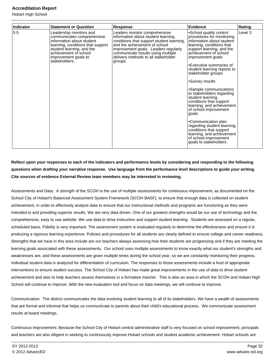Hobart High School

| Indicator | <b>Statement or Question</b>                                                                                                                                                                                           | <b>Response</b>                                                                                                                                                                                                                                                                    | <b>Evidence</b>                                                                                                                                                                                                                                                                                                                                                                                                                                                                                                                                                                                                                    | Rating  |
|-----------|------------------------------------------------------------------------------------------------------------------------------------------------------------------------------------------------------------------------|------------------------------------------------------------------------------------------------------------------------------------------------------------------------------------------------------------------------------------------------------------------------------------|------------------------------------------------------------------------------------------------------------------------------------------------------------------------------------------------------------------------------------------------------------------------------------------------------------------------------------------------------------------------------------------------------------------------------------------------------------------------------------------------------------------------------------------------------------------------------------------------------------------------------------|---------|
| 5.5       | Leadership monitors and<br>communicates comprehensive<br>information about student<br>learning, conditions that support<br>student learning, and the<br>achievement of school<br>improvement goals to<br>stakeholders. | Leaders monitor comprehensive<br>information about student learning,<br>conditions that support student learning,<br>and the achievement of school<br>improvement goals. Leaders regularly<br>communicate results using multiple<br>delivery methods to all stakeholder<br>groups. | •School quality control<br>procedures for monitoring<br>information about student<br>learning, conditions that<br>support learning, and the<br>achievement of school<br>improvement goals<br>•Executive summaries of<br>student learning reports to<br>stakeholder groups<br>•Survey results<br>•Sample communications<br>to stakeholders regarding<br>student learning,<br>conditions that support<br>learning, and achievement<br>of school improvement<br>goals<br>•Communication plan<br>regarding student learning,<br>conditions that support<br>learning, and achievement<br>of school improvement<br>goals to stakeholders | Level 3 |

## **Reflect upon your responses to each of the indicators and performance levels by considering and responding to the following questions when drafting your narrative response. Use language from the performance level descriptions to guide your writing. Cite sources of evidence External Review team members may be interested in reviewing.**

Assessments and Data: A strength of the SCOH is the use of multiple assessments for continuous improvement, as documented on the School City of Hobart's Balanced Assessment System Framework (SCOH BASF), to ensure that enough data is collected on student achievement, in order to effectively analyze data to ensure that our instructional methods and programs are functioning as they were intended to and providing superior results. We are very data driven. One of our greatest strengths would be our use of technology and the comprehensive, easy to use website. We use data to drive instruction and support student learning. Students are assessed on a regular, scheduled basis. Fidelity is very important. The assessment system is evaluated regularly to determine the effectiveness and ensure it is producing a rigorous learning experience. Policies and procedures for all students are clearly defined to ensure college and career readiness. Strengths that we have in this area include are our teachers always assessing how their students are progressing and if they are meeting the learning goals associated with these assessments. Our school uses multiple assessments to know exactly what our student's strengths and weaknesses are, and these assessments are given multiple times during the school year, so we are constantly monitoring their progress. Individual student data is analyzed for differentiation of curriculum. The responses to those assessments include a host of appropriate interventions to ensure student success. The School City of Hobart has made great improvements in the use of data to drive student achievement and also to help teachers assess themselves in a formative manner. This is also an area in which the SCOH and Hobart High School will continue to improve. With the new evaluation tool and focus on data meetings, we will continue to improve.

Communication: The district communicates the data involving student learning to all of its stakeholders. We have a wealth of assessments that are formal and informal that helps us communicate to parents about their child's educational process. We communicate assessment results at board meetings.

Continuous Improvement: Because the School City of Hobart central administrative staff is very focused on school improvement, principals and teachers are also diligent in seeking to continuously improve Hobart schools and student academic achievement. Hobart schools are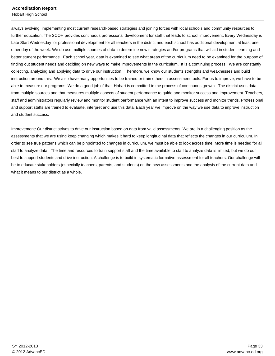always evolving, implementing most current research-based strategies and joining forces with local schools and community resources to further education. The SCOH provides continuous professional development for staff that leads to school improvement. Every Wednesday is Late Start Wednesday for professional development for all teachers in the district and each school has additional development at least one other day of the week. We do use multiple sources of data to determine new strategies and/or programs that will aid in student learning and better student performance. Each school year, data is examined to see what areas of the curriculum need to be examined for the purpose of finding out student needs and deciding on new ways to make improvements in the curriculum. It is a continuing process. We are constantly collecting, analyzing and applying data to drive our instruction. Therefore, we know our students strengths and weaknesses and build instruction around this. We also have many opportunities to be trained or train others in assessment tools. For us to improve, we have to be able to measure our programs. We do a good job of that. Hobart is committed to the process of continuous growth. The district uses data from multiple sources and that measures multiple aspects of student performance to guide and monitor success and improvement. Teachers, staff and administrators regularly review and monitor student performance with an intent to improve success and monitor trends. Professional and support staffs are trained to evaluate, interpret and use this data. Each year we improve on the way we use data to improve instruction and student success.

Improvement: Our district strives to drive our instruction based on data from valid assessments. We are in a challenging position as the assessments that we are using keep changing which makes it hard to keep longitudinal data that reflects the changes in our curriculum. In order to see true patterns which can be pinpointed to changes in curriculum, we must be able to look across time. More time is needed for all staff to analyze data. The time and resources to train support staff and the time available to staff to analyze data is limited, but we do our best to support students and drive instruction. A challenge is to build in systematic formative assessment for all teachers. Our challenge will be to educate stakeholders (especially teachers, parents, and students) on the new assessments and the analysis of the current data and what it means to our district as a whole.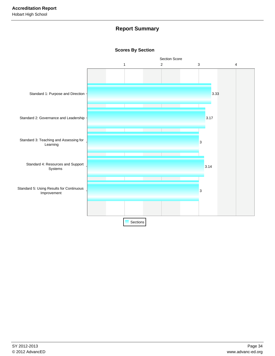## **Report Summary**

## **Scores By Section**

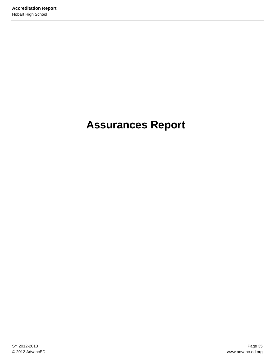# **Assurances Report**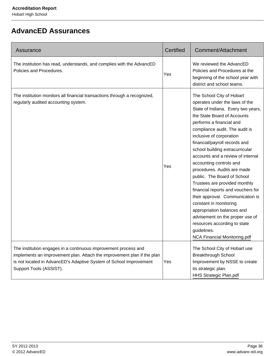## **AdvancED Assurances**

| Assurance                                                                                                                                                                                                                                   | Certified | Comment/Attachment                                                                                                                                                                                                                                                                                                                                                                                                                                                                                                                                                                                                                                                                                                       |
|---------------------------------------------------------------------------------------------------------------------------------------------------------------------------------------------------------------------------------------------|-----------|--------------------------------------------------------------------------------------------------------------------------------------------------------------------------------------------------------------------------------------------------------------------------------------------------------------------------------------------------------------------------------------------------------------------------------------------------------------------------------------------------------------------------------------------------------------------------------------------------------------------------------------------------------------------------------------------------------------------------|
| The institution has read, understands, and complies with the AdvancED<br>Policies and Procedures.                                                                                                                                           | Yes       | We reviewed the AdvancED<br>Policies and Procedures at the<br>beginning of the school year with<br>district and school teams.                                                                                                                                                                                                                                                                                                                                                                                                                                                                                                                                                                                            |
| The institution monitors all financial transactions through a recognized,<br>regularly audited accounting system.                                                                                                                           | Yes       | The School City of Hobart<br>operates under the laws of the<br>State of Indiana. Every two years,<br>the State Board of Accounts<br>performs a financial and<br>compliance audit. The audit is<br>inclusive of corporation<br>financial/payroll records and<br>school building extracurricular<br>accounts and a review of internal<br>accounting controls and<br>procedures. Audits are made<br>public. The Board of School<br>Trustees are provided monthly<br>financial reports and vouchers for<br>their approval. Communication is<br>constant in monitoring<br>appropriation balances and<br>advisement on the proper use of<br>resources according to state<br>guidelines.<br><b>NCA Financial Monitoring.pdf</b> |
| The institution engages in a continuous improvement process and<br>implements an improvement plan. Attach the improvement plan if the plan<br>is not located in AdvancED's Adaptive System of School Improvement<br>Support Tools (ASSIST). | Yes       | The School City of Hobart use<br><b>Breakthrough School</b><br>Improvement by NSSE to create<br>its strategic plan.<br>HHS Strategic Plan.pdf                                                                                                                                                                                                                                                                                                                                                                                                                                                                                                                                                                            |